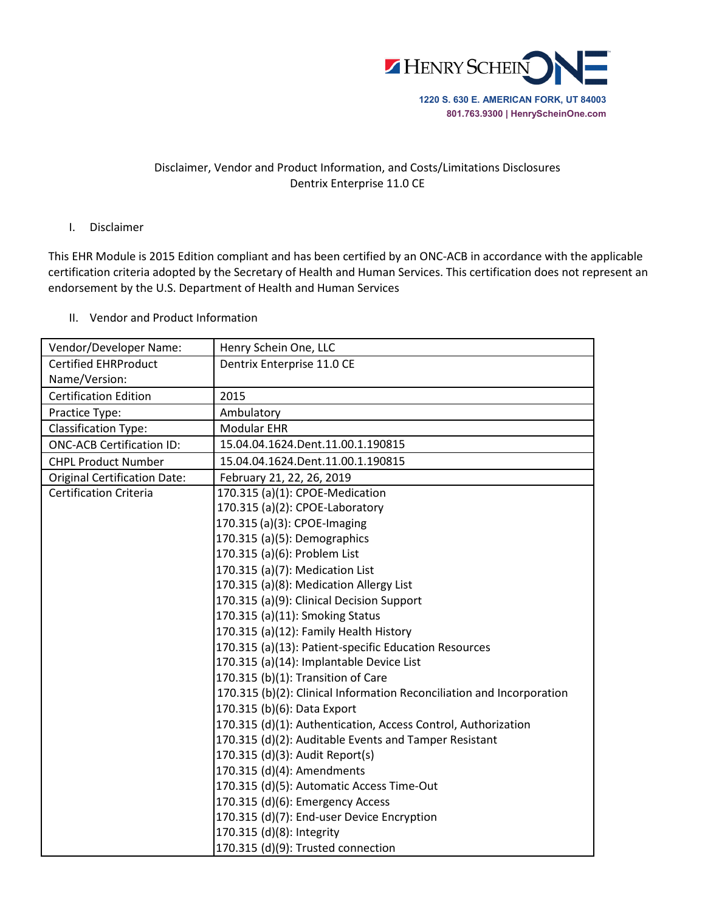

## Disclaimer, Vendor and Product Information, and Costs/Limitations Disclosures Dentrix Enterprise 11.0 CE

## I. Disclaimer

This EHR Module is 2015 Edition compliant and has been certified by an ONC-ACB in accordance with the applicable certification criteria adopted by the Secretary of Health and Human Services. This certification does not represent an endorsement by the U.S. Department of Health and Human Services

II. Vendor and Product Information

| Vendor/Developer Name:              | Henry Schein One, LLC                                                 |
|-------------------------------------|-----------------------------------------------------------------------|
| <b>Certified EHRProduct</b>         | Dentrix Enterprise 11.0 CE                                            |
| Name/Version:                       |                                                                       |
| <b>Certification Edition</b>        | 2015                                                                  |
| Practice Type:                      | Ambulatory                                                            |
| <b>Classification Type:</b>         | Modular EHR                                                           |
| <b>ONC-ACB Certification ID:</b>    | 15.04.04.1624.Dent.11.00.1.190815                                     |
| <b>CHPL Product Number</b>          | 15.04.04.1624.Dent.11.00.1.190815                                     |
| <b>Original Certification Date:</b> | February 21, 22, 26, 2019                                             |
| <b>Certification Criteria</b>       | 170.315 (a)(1): CPOE-Medication                                       |
|                                     | 170.315 (a)(2): CPOE-Laboratory                                       |
|                                     | 170.315 (a)(3): CPOE-Imaging                                          |
|                                     | 170.315 (a)(5): Demographics                                          |
|                                     | 170.315 (a)(6): Problem List                                          |
|                                     | 170.315 (a)(7): Medication List                                       |
|                                     | 170.315 (a)(8): Medication Allergy List                               |
|                                     | 170.315 (a)(9): Clinical Decision Support                             |
|                                     | 170.315 (a)(11): Smoking Status                                       |
|                                     | 170.315 (a)(12): Family Health History                                |
|                                     | 170.315 (a)(13): Patient-specific Education Resources                 |
|                                     | 170.315 (a)(14): Implantable Device List                              |
|                                     | 170.315 (b)(1): Transition of Care                                    |
|                                     | 170.315 (b)(2): Clinical Information Reconciliation and Incorporation |
|                                     | 170.315 (b)(6): Data Export                                           |
|                                     | 170.315 (d)(1): Authentication, Access Control, Authorization         |
|                                     | 170.315 (d)(2): Auditable Events and Tamper Resistant                 |
|                                     | 170.315 (d)(3): Audit Report(s)                                       |
|                                     | 170.315 (d)(4): Amendments                                            |
|                                     | 170.315 (d)(5): Automatic Access Time-Out                             |
|                                     | 170.315 (d)(6): Emergency Access                                      |
|                                     | 170.315 (d)(7): End-user Device Encryption                            |
|                                     | 170.315 (d)(8): Integrity                                             |
|                                     | 170.315 (d)(9): Trusted connection                                    |